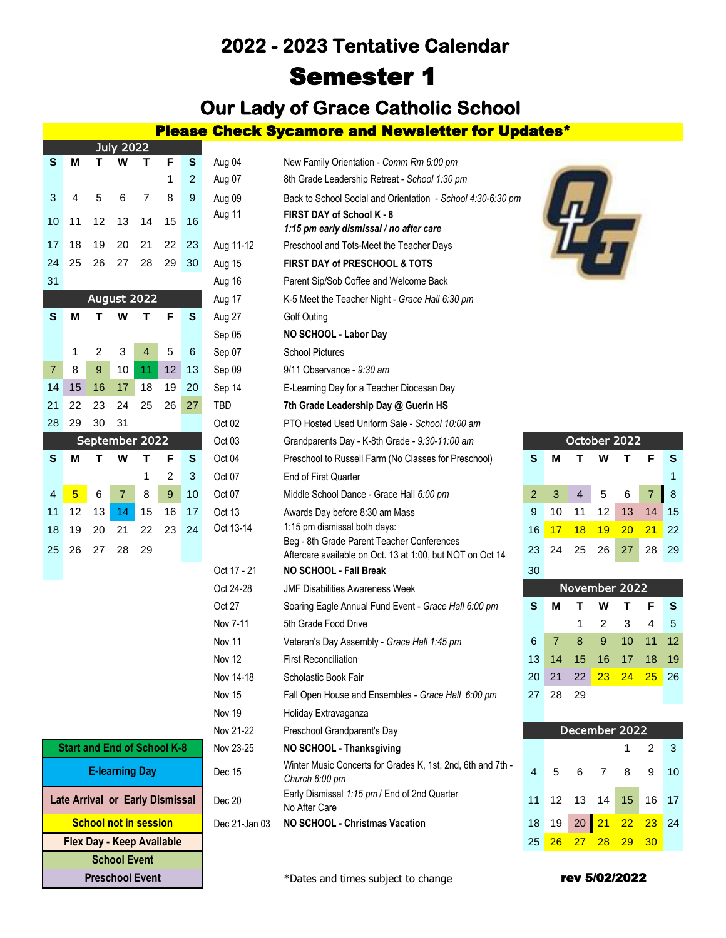# **2022 - 2023 Tentative Calendar** Semester 1

**Our Lady of Grace Catholic School** 

Please Check Sycamore and Newsletter for Updates\*

|                |    |                | JUIY ZUZZ      |    |                |    |                   |                                                                             |
|----------------|----|----------------|----------------|----|----------------|----|-------------------|-----------------------------------------------------------------------------|
| S              | М  | т              | W              | т  | F              | s  | Aug 04            | New Family Orientation - Comm Rm 6:00 pr                                    |
|                |    |                |                |    | 1              | 2  | Aug 07            | 8th Grade Leadership Retreat - School 1:30                                  |
| 3              | 4  | 5              | 6              | 7  | 8              | 9  | Aug 09            | Back to School Social and Orientation - Scl                                 |
| 10             | 11 | 12             | 13             | 14 | 15             | 16 | Aug 11            | <b>FIRST DAY of School K - 8</b><br>1:15 pm early dismissal / no after care |
| 17             | 18 | 19             | 20             | 21 | 22             | 23 | Aug 11-12         | Preschool and Tots-Meet the Teacher Days                                    |
| 24             | 25 | 26             | 27             | 28 | 29             | 30 | Aug 15            | <b>FIRST DAY of PRESCHOOL &amp; TOTS</b>                                    |
| 31             |    |                |                |    |                |    | Aug 16            | Parent Sip/Sob Coffee and Welcome Back                                      |
|                |    |                | August 2022    |    |                |    | Aug 17            | K-5 Meet the Teacher Night - Grace Hall 6:3                                 |
| ${\bf S}$      | M  | т              | w              | т  | F              | S  | Aug 27            | Golf Outing                                                                 |
|                |    |                |                |    |                |    | Sep 05            | NO SCHOOL - Labor Day                                                       |
|                | 1  | $\overline{2}$ | 3              | 4  | 5              | 6  | Sep 07            | <b>School Pictures</b>                                                      |
| $\overline{7}$ | 8  | 9              | 10             | 11 | 12             | 13 | Sep 09            | 9/11 Observance - 9:30 am                                                   |
| 14             | 15 | 16             | 17             | 18 | 19             | 20 | Sep 14            | E-Learning Day for a Teacher Diocesan Day                                   |
| 21             | 22 | 23             | 24             | 25 | 26             | 27 | TBD               | 7th Grade Leadership Day @ Guerin HS                                        |
| 28             | 29 | 30             | 31             |    |                |    | Oct 02            | PTO Hosted Used Uniform Sale - School 10                                    |
|                |    | September 2022 |                |    |                |    | Oct <sub>03</sub> | Grandparents Day - K-8th Grade - 9:30-11:0                                  |
| S              | M  | Т              | W              | Т  | F              | S  | Oct 04            | Preschool to Russell Farm (No Classes for I                                 |
|                |    |                |                | 1  | $\overline{2}$ | 3  | Oct 07            | <b>End of First Quarter</b>                                                 |
| $\overline{4}$ | 5  | 6              | $\overline{7}$ | 8  | 9              | 10 | Oct 07            | Middle School Dance - Grace Hall 6:00 pm                                    |
| 11             | 12 | 13             | 14             | 15 | 16             | 17 | Oct 13            | Awards Day before 8:30 am Mass                                              |
| 18             | 19 | 20             | 21             | 22 | 23             | 24 | Oct 13-14         | 1:15 pm dismissal both days:<br>Beg - 8th Grade Parent Teacher Conference   |
| 25             | 26 | 27             | 28             | 29 |                |    |                   | Aftercare available on Oct. 13 at 1:00, but N                               |
|                |    |                |                |    |                |    | Oct 17 - 21       | <b>NO SCHOOL - Fall Break</b>                                               |

 $Jubz 2022$ 

|                                        | Nov 21-22 |
|----------------------------------------|-----------|
| <b>Start and End of School K-8</b>     | Nov 23-25 |
| <b>E-learning Day</b>                  | Dec 15    |
| <b>Late Arrival or Early Dismissal</b> | Dec 20    |
| <b>School not in session</b>           | Dec 21-Ja |
| <b>Flex Day - Keep Available</b>       |           |
| <b>School Event</b>                    |           |
| <b>Preschool Event</b>                 |           |

|                            |    |    | JUIY ZUZZ      |                                    |    |    |                                             |                                                                               |                |    |               |    |    |                 |    |  |  |
|----------------------------|----|----|----------------|------------------------------------|----|----|---------------------------------------------|-------------------------------------------------------------------------------|----------------|----|---------------|----|----|-----------------|----|--|--|
| S                          | М  |    | W              | т                                  | F  | S  | Aug 04                                      | New Family Orientation - Comm Rm 6:00 pm                                      |                |    |               |    |    |                 |    |  |  |
|                            |    |    |                |                                    | 1  | 2  | Aug 07                                      | 8th Grade Leadership Retreat - School 1:30 pm                                 |                |    |               |    |    |                 |    |  |  |
| 3                          | 4  | 5  | 6              | 7                                  | 8  | 9  | Aug 09                                      | Back to School Social and Orientation - School 4:30-6:30 pm                   |                |    |               |    |    |                 |    |  |  |
| 10                         | 11 | 12 | 13             | 14                                 | 15 | 16 | Aug 11                                      | <b>FIRST DAY of School K - 8</b>                                              |                |    |               |    |    |                 |    |  |  |
|                            |    |    |                |                                    |    |    |                                             | 1:15 pm early dismissal / no after care                                       |                |    |               |    |    |                 |    |  |  |
| 17                         | 18 | 19 | 20             | 21                                 | 22 | 23 | Aug 11-12                                   | Preschool and Tots-Meet the Teacher Days                                      |                |    |               |    |    |                 |    |  |  |
| 24                         | 25 | 26 | 27             | 28                                 | 29 | 30 | FIRST DAY of PRESCHOOL & TOTS<br>Aug 15     |                                                                               |                |    |               |    |    |                 |    |  |  |
| 31                         |    |    |                |                                    |    |    | Aug 16                                      | Parent Sip/Sob Coffee and Welcome Back                                        |                |    |               |    |    |                 |    |  |  |
|                            |    |    |                | August 2022                        |    |    | Aug 17                                      | K-5 Meet the Teacher Night - Grace Hall 6:30 pm                               |                |    |               |    |    |                 |    |  |  |
| S                          | М  | т  | W              | т                                  | F  | S  | Aug 27                                      | <b>Golf Outing</b>                                                            |                |    |               |    |    |                 |    |  |  |
|                            |    |    |                |                                    |    |    | Sep 05                                      | NO SCHOOL - Labor Day                                                         |                |    |               |    |    |                 |    |  |  |
|                            | 1  | 2  | 3              | 4                                  | 5  | 6  | Sep 07                                      | <b>School Pictures</b>                                                        |                |    |               |    |    |                 |    |  |  |
| $\overline{7}$             | 8  | 9  | 10             | 11                                 | 12 | 13 | Sep 09                                      | $9/11$ Observance - $9:30$ am                                                 |                |    |               |    |    |                 |    |  |  |
| 14                         | 15 | 16 | 17             | 18                                 | 19 | 20 |                                             | Sep 14<br>E-Learning Day for a Teacher Diocesan Day                           |                |    |               |    |    |                 |    |  |  |
| 25<br>21<br>22<br>23<br>24 |    |    |                | 26                                 | 27 |    | TBD<br>7th Grade Leadership Day @ Guerin HS |                                                                               |                |    |               |    |    |                 |    |  |  |
| 28                         | 29 | 30 | 31             |                                    |    |    | Oct 02                                      | PTO Hosted Used Uniform Sale - School 10:00 am                                |                |    |               |    |    |                 |    |  |  |
|                            |    |    |                | September 2022                     |    |    | Oct 03                                      | Grandparents Day - K-8th Grade - 9:30-11:00 am                                |                |    | October 2022  |    |    |                 |    |  |  |
| S                          | м  | т  | W              | т                                  | F  | S  | Oct 04                                      | Preschool to Russell Farm (No Classes for Preschool)                          | S              | М  | Τ             | w  | т  | F               | S  |  |  |
|                            |    |    |                | 1                                  | 2  | 3  | Oct 07                                      | <b>End of First Quarter</b>                                                   |                |    |               |    |    |                 | 1  |  |  |
| 4                          | 5  | 6  | $\overline{7}$ | 8                                  | 9  | 10 | Oct 07                                      | Middle School Dance - Grace Hall 6:00 pm                                      | $\overline{2}$ | 3  | 4             | 5  | 6  | $\overline{7}$  | 8  |  |  |
| 11                         | 12 | 13 | 14             | 15                                 | 16 | 17 | Oct 13                                      | Awards Day before 8:30 am Mass                                                | 9              | 10 | 11            | 12 | 13 | 14              | 15 |  |  |
| 18                         | 19 | 20 | 21             | 22                                 | 23 | 24 | Oct 13-14                                   | 1:15 pm dismissal both days:<br>Beg - 8th Grade Parent Teacher Conferences    | 16             | 17 | 18            | 19 | 20 | 21              | 22 |  |  |
| 25                         | 26 | 27 | 28             | 29                                 |    |    |                                             | Aftercare available on Oct. 13 at 1:00, but NOT on Oct 14                     | 23             | 24 | 25            | 26 | 27 | 28              | 29 |  |  |
|                            |    |    |                |                                    |    |    | Oct 17 - 21                                 | NO SCHOOL - Fall Break                                                        | 30             |    |               |    |    |                 |    |  |  |
|                            |    |    |                |                                    |    |    | Oct 24-28                                   | <b>JMF Disabilities Awareness Week</b>                                        |                |    | November 2022 |    |    |                 |    |  |  |
|                            |    |    |                |                                    |    |    | Oct 27                                      | Soaring Eagle Annual Fund Event - Grace Hall 6:00 pm                          | S              | М  | Т             | W  | Т  | F               | S  |  |  |
|                            |    |    |                |                                    |    |    | Nov 7-11                                    | 5th Grade Food Drive                                                          |                |    | 1             | 2  | 3  | 4               | 5  |  |  |
|                            |    |    |                |                                    |    |    | Nov 11                                      | Veteran's Day Assembly - Grace Hall 1:45 pm                                   | 6              | 7  | 8             | 9  | 10 | 11              | 12 |  |  |
|                            |    |    |                |                                    |    |    | Nov 12                                      | <b>First Reconciliation</b>                                                   | 13             | 14 | 15            | 16 | 17 | 18              | 19 |  |  |
|                            |    |    |                |                                    |    |    | Nov 14-18                                   | Scholastic Book Fair                                                          | 20             | 21 | 22            | 23 | 24 | $\overline{25}$ | 26 |  |  |
|                            |    |    |                |                                    |    |    | Nov 15                                      | Fall Open House and Ensembles - Grace Hall 6:00 pm                            | 27             | 28 | 29            |    |    |                 |    |  |  |
|                            |    |    |                |                                    |    |    | Nov 19                                      | Holiday Extravaganza                                                          |                |    |               |    |    |                 |    |  |  |
|                            |    |    |                |                                    |    |    | Nov 21-22                                   | Preschool Grandparent's Day                                                   |                |    | December 2022 |    |    |                 |    |  |  |
|                            |    |    |                | <b>Start and End of School K-8</b> |    |    | Nov 23-25                                   | NO SCHOOL - Thanksgiving                                                      |                |    |               |    | 1  | $\overline{2}$  | 3  |  |  |
|                            |    |    |                | <b>E-learning Day</b>              |    |    | Dec 15                                      | Winter Music Concerts for Grades K, 1st, 2nd, 6th and 7th -<br>Church 6:00 pm | $\overline{4}$ | 5  | 6             | 7  | 8  | 9               | 10 |  |  |
|                            |    |    |                | Late Arrival or Early Dismissal    |    |    | Dec 20                                      | Early Dismissal 1:15 pm / End of 2nd Quarter<br>No After Care                 | 11             | 12 | 13            | 14 | 15 | 16              | 17 |  |  |
|                            |    |    |                | <b>School not in session</b>       |    |    | Dec 21-Jan 03                               | NO SCHOOL - Christmas Vacation                                                | 18             | 19 | 20            | 21 | 22 | 23              | 24 |  |  |
|                            |    |    |                |                                    |    |    |                                             |                                                                               |                |    |               |    |    |                 |    |  |  |



| October 2022   |               |                         |                 |                   |                |   |  |  |  |  |  |
|----------------|---------------|-------------------------|-----------------|-------------------|----------------|---|--|--|--|--|--|
| S              | м             | W<br>$\mathbf{T}$<br>T. |                 |                   |                | S |  |  |  |  |  |
|                |               |                         |                 |                   |                | 1 |  |  |  |  |  |
| $\overline{2}$ | 3             | $\overline{4}$          |                 | 5 6               | $\overline{7}$ | 8 |  |  |  |  |  |
| 9              | 10            |                         | 11 12           | 13 14 15          |                |   |  |  |  |  |  |
| 16             | $17 \quad 18$ |                         | $\frac{19}{20}$ |                   | $-21$ 22       |   |  |  |  |  |  |
| 23             |               |                         |                 | 24 25 26 27 28 29 |                |   |  |  |  |  |  |
| 30             |               |                         |                 |                   |                |   |  |  |  |  |  |

| <b>November 2022</b> |                |      |                            |              |   |   |  |  |  |  |  |
|----------------------|----------------|------|----------------------------|--------------|---|---|--|--|--|--|--|
| S                    | м              | Τ.   | W                          | $\mathbf{T}$ | F | S |  |  |  |  |  |
|                      |                | 1.   | $\overline{2}$             | $3 \quad 4$  |   | 5 |  |  |  |  |  |
| 6                    | $\overline{7}$ | - 8  | 9 10 11 12                 |              |   |   |  |  |  |  |  |
|                      |                |      | 13  14  15  16  17  18  19 |              |   |   |  |  |  |  |  |
|                      |                |      | 20 21 22 23 24 25 26       |              |   |   |  |  |  |  |  |
|                      | 27 28          | - 29 |                            |              |   |   |  |  |  |  |  |

| December 2022        |  |  |  |                     |  |  |  |  |  |  |  |  |
|----------------------|--|--|--|---------------------|--|--|--|--|--|--|--|--|
|                      |  |  |  | $1 \quad 2 \quad 3$ |  |  |  |  |  |  |  |  |
| 4 5 6 7 8 9 10       |  |  |  |                     |  |  |  |  |  |  |  |  |
| 11 12 13 14 15 16 17 |  |  |  |                     |  |  |  |  |  |  |  |  |
| 18 19 20 21 22 23 24 |  |  |  |                     |  |  |  |  |  |  |  |  |
|                      |  |  |  |                     |  |  |  |  |  |  |  |  |

\*Dates and times subject to change

### rev 5/02/2022